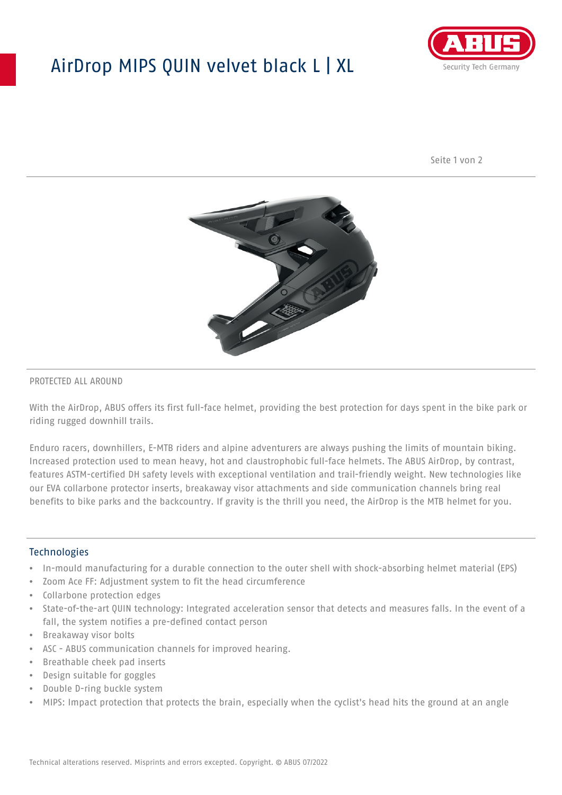## AirDrop MIPS QUIN velvet black L | XL



Seite 1 von 2



#### PROTECTED ALL AROUND

With the AirDrop, ABUS offers its first full-face helmet, providing the best protection for days spent in the bike park or riding rugged downhill trails.

Enduro racers, downhillers, E-MTB riders and alpine adventurers are always pushing the limits of mountain biking. Increased protection used to mean heavy, hot and claustrophobic full-face helmets. The ABUS AirDrop, by contrast, features ASTM-certified DH safety levels with exceptional ventilation and trail-friendly weight. New technologies like our EVA collarbone protector inserts, breakaway visor attachments and side communication channels bring real benefits to bike parks and the backcountry. If gravity is the thrill you need, the AirDrop is the MTB helmet for you.

#### **Technologies**

- In-mould manufacturing for a durable connection to the outer shell with shock-absorbing helmet material (EPS)
- Zoom Ace FF: Adjustment system to fit the head circumference
- Collarbone protection edges
- State-of-the-art QUIN technology: Integrated acceleration sensor that detects and measures falls. In the event of a fall, the system notifies a pre-defined contact person
- Breakaway visor bolts
- ASC ABUS communication channels for improved hearing.
- Breathable cheek pad inserts
- Design suitable for goggles
- Double D-ring buckle system
- MIPS: Impact protection that protects the brain, especially when the cyclist's head hits the ground at an angle